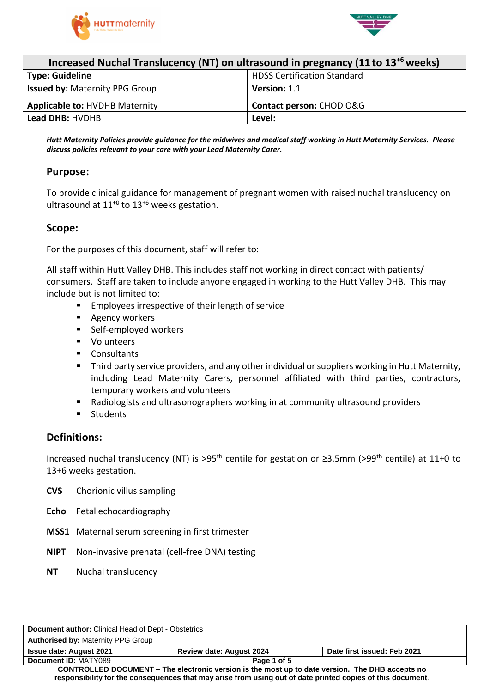



| Increased Nuchal Translucency (NT) on ultrasound in pregnancy (11 to 13 <sup>+6</sup> weeks) |                                    |  |  |
|----------------------------------------------------------------------------------------------|------------------------------------|--|--|
| <b>Type: Guideline</b>                                                                       | <b>HDSS Certification Standard</b> |  |  |
| <b>Issued by: Maternity PPG Group</b>                                                        | Version: 1.1                       |  |  |
| <b>Applicable to: HVDHB Maternity</b>                                                        | Contact person: CHOD O&G           |  |  |
| <b>Lead DHB: HVDHB</b>                                                                       | Level:                             |  |  |

Hutt Maternity Policies provide guidance for the midwives and medical staff working in Hutt Maternity Services. Please *discuss policies relevant to your care with your Lead Maternity Carer.*

#### **Purpose:**

To provide clinical guidance for management of pregnant women with raised nuchal translucency on ultrasound at  $11^{+0}$  to  $13^{+6}$  weeks gestation.

#### **Scope:**

For the purposes of this document, staff will refer to:

All staff within Hutt Valley DHB. This includes staff not working in direct contact with patients/ consumers. Staff are taken to include anyone engaged in working to the Hutt Valley DHB. This may include but is not limited to:

- **Employees irrespective of their length of service**
- **Agency workers**
- Self-employed workers
- **volunteers**
- Consultants
- **Third party service providers, and any other individual or suppliers working in Hutt Maternity,** including Lead Maternity Carers, personnel affiliated with third parties, contractors, temporary workers and volunteers
- Radiologists and ultrasonographers working in at community ultrasound providers
- **Students**

### **Definitions:**

Increased nuchal translucency (NT) is >95th centile for gestation or ≥3.5mm (>99th centile) at 11+0 to 13+6 weeks gestation.

- **CVS** Chorionic villus sampling
- **Echo** Fetal echocardiography
- **MSS1** Maternal serum screening in first trimester
- **NIPT** Non-invasive prenatal (cell-free DNA) testing
- **NT** Nuchal translucency

| <b>Document author:</b> Clinical Head of Dept - Obstetrics                                                 |                                 |             |                             |
|------------------------------------------------------------------------------------------------------------|---------------------------------|-------------|-----------------------------|
| <b>Authorised by: Maternity PPG Group</b>                                                                  |                                 |             |                             |
| <b>Issue date: August 2021</b>                                                                             | <b>Review date: August 2024</b> |             | Date first issued: Feb 2021 |
| Document ID: MATY089                                                                                       |                                 | Page 1 of 5 |                             |
| CONTROLLED DOCUMENT – The electronic version is the most up to date version. The DHB accepts no            |                                 |             |                             |
| responsibility for the consequences that may arise from using out of date printed copies of this document. |                                 |             |                             |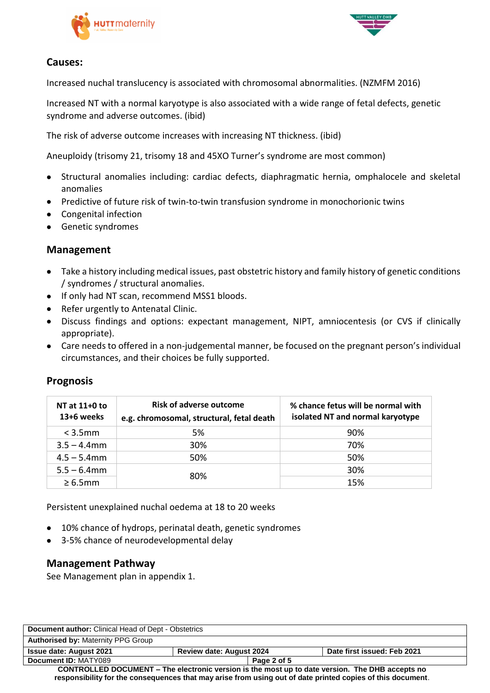



# **Causes:**

Increased nuchal translucency is associated with chromosomal abnormalities. (NZMFM 2016)

Increased NT with a normal karyotype is also associated with a wide range of fetal defects, genetic syndrome and adverse outcomes. (ibid)

The risk of adverse outcome increases with increasing NT thickness. (ibid)

Aneuploidy (trisomy 21, trisomy 18 and 45XO Turner's syndrome are most common)

- Structural anomalies including: cardiac defects, diaphragmatic hernia, omphalocele and skeletal anomalies
- Predictive of future risk of twin-to-twin transfusion syndrome in monochorionic twins
- Congenital infection
- **•** Genetic syndromes

### **Management**

- Take a history including medical issues, past obstetric history and family history of genetic conditions / syndromes / structural anomalies.
- If only had NT scan, recommend MSS1 bloods.
- Refer urgently to Antenatal Clinic.
- Discuss findings and options: expectant management, NIPT, amniocentesis (or CVS if clinically appropriate).
- Care needs to offered in a non-judgemental manner, be focused on the pregnant person's individual circumstances, and their choices be fully supported.

| NT at 11+0 to<br>13+6 weeks | <b>Risk of adverse outcome</b><br>e.g. chromosomal, structural, fetal death | % chance fetus will be normal with<br>isolated NT and normal karyotype |
|-----------------------------|-----------------------------------------------------------------------------|------------------------------------------------------------------------|
| $<$ 3.5 $mm$                | 5%                                                                          | 90%                                                                    |
| $3.5 - 4.4$ mm              | 30%                                                                         | 70%                                                                    |
| $4.5 - 5.4$ mm              | 50%                                                                         | 50%                                                                    |
| $5.5 - 6.4$ mm              | 80%                                                                         | 30%                                                                    |
| $\geq 6.5$ mm               |                                                                             | 15%                                                                    |

## **Prognosis**

Persistent unexplained nuchal oedema at 18 to 20 weeks

- 10% chance of hydrops, perinatal death, genetic syndromes
- 3-5% chance of neurodevelopmental delay

### **Management Pathway**

See Management plan in appendix 1.

| <b>Document author:</b> Clinical Head of Dept - Obstetrics                                                 |                                 |             |                             |
|------------------------------------------------------------------------------------------------------------|---------------------------------|-------------|-----------------------------|
| <b>Authorised by: Maternity PPG Group</b>                                                                  |                                 |             |                             |
| <b>Issue date: August 2021</b>                                                                             | <b>Review date: August 2024</b> |             | Date first issued: Feb 2021 |
| Document ID: MATY089                                                                                       |                                 | Page 2 of 5 |                             |
| <b>CONTROLLED DOCUMENT – The electronic version is the most up to date version. The DHB accepts no</b>     |                                 |             |                             |
| responsibility for the consequences that may arise from using out of date printed copies of this document. |                                 |             |                             |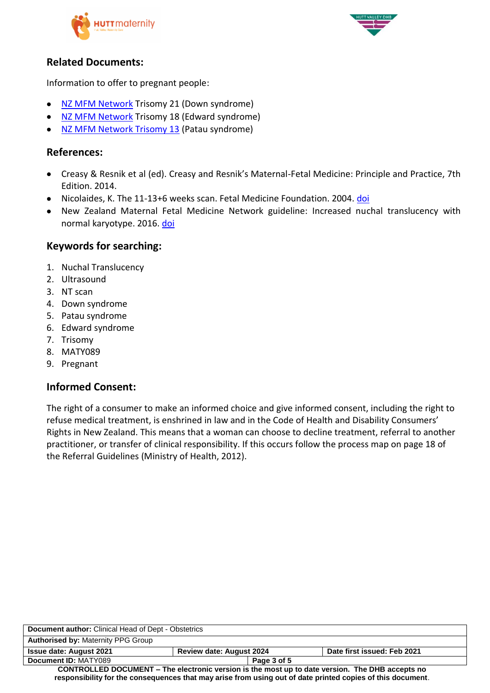



# **Related Documents:**

Information to offer to pregnant people:

- [NZ MFM Network](https://www.healthpoint.co.nz/downloadinfo,138318,otherList,8jpoam1bhatd8ax1ymws.do) Trisomy 21 (Down syndrome)
- [NZ MFM Network](https://www.healthpoint.co.nz/downloadinfo,138318,otherList,g7vjkikr3kuxsopei55j.do) Trisomy 18 (Edward syndrome)
- [NZ MFM Network Trisomy 13](https://www.healthpoint.co.nz/downloadinfo,138318,otherList,zna9mnwv4umvkhnl69pg.do) (Patau syndrome)

# **References:**

- Creasy & Resnik et al (ed). Creasy and Resnik's Maternal-Fetal Medicine: Principle and Practice, 7th Edition. 2014.
- Nicolaides, K. The 11-13+6 weeks scan. Fetal Medicine Foundation. 2004. [doi](https://www.fetalmedicine.com/fmf/FMF-English.pdf)
- New Zealand Maternal Fetal Medicine Network guideline: Increased nuchal translucency with normal karyotype. 2016. [doi](https://www.healthpoint.co.nz/downloadinfo,138318,otherList,tod9wsowja6oduhxcvlm.do)

## **Keywords for searching:**

- 1. Nuchal Translucency
- 2. Ultrasound
- 3. NT scan
- 4. Down syndrome
- 5. Patau syndrome
- 6. Edward syndrome
- 7. Trisomy
- 8. MATY089
- 9. Pregnant

## **Informed Consent:**

The right of a consumer to make an informed choice and give informed consent, including the right to refuse medical treatment, is enshrined in law and in the Code of Health and Disability Consumers' Rights in New Zealand. This means that a woman can choose to decline treatment, referral to another practitioner, or transfer of clinical responsibility. If this occurs follow the process map on page 18 of the Referral Guidelines (Ministry of Health, 2012).

| <b>Document author:</b> Clinical Head of Dept - Obstetrics                                                 |                                 |             |                             |
|------------------------------------------------------------------------------------------------------------|---------------------------------|-------------|-----------------------------|
| <b>Authorised by: Maternity PPG Group</b>                                                                  |                                 |             |                             |
| <b>Issue date: August 2021</b>                                                                             | <b>Review date: August 2024</b> |             | Date first issued: Feb 2021 |
| Document ID: MATY089                                                                                       |                                 | Page 3 of 5 |                             |
| CONTROLLED DOCUMENT - The electronic version is the most up to date version. The DHB accepts no            |                                 |             |                             |
| responsibility for the consequences that may arise from using out of date printed copies of this document. |                                 |             |                             |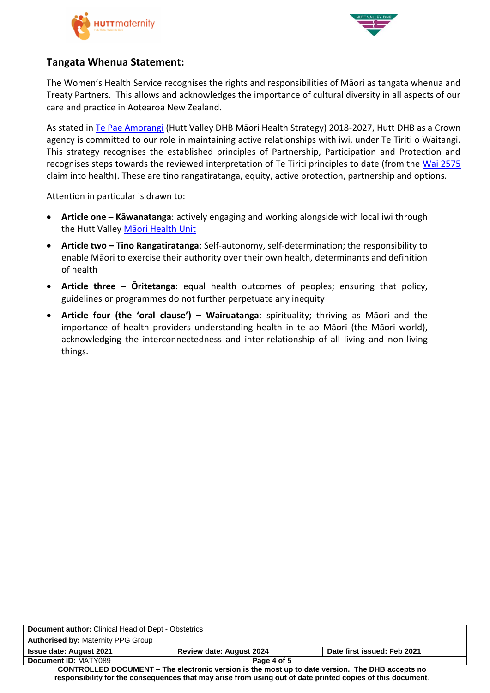



### **Tangata Whenua Statement:**

The Women's Health Service recognises the rights and responsibilities of Māori as tangata whenua and Treaty Partners. This allows and acknowledges the importance of cultural diversity in all aspects of our care and practice in Aotearoa New Zealand.

As stated in [Te Pae Amorangi](http://www.huttvalleydhb.org.nz/about-us/reports-and-publications/te-pae-amorangi/) (Hutt Valley DHB Māori Health Strategy) 2018-2027, Hutt DHB as a Crown agency is committed to our role in maintaining active relationships with iwi, under Te Tiriti o Waitangi. This strategy recognises the established principles of Partnership, Participation and Protection and recognises steps towards the reviewed interpretation of Te Tiriti principles to date (from the [Wai 2575](https://www.health.govt.nz/our-work/populations/maori-health/wai-2575-health-services-and-outcomes-kaupapa-inquiry) claim into health). These are tino rangatiratanga, equity, active protection, partnership and options.

Attention in particular is drawn to:

- **Article one – Kāwanatanga**: actively engaging and working alongside with local iwi through the Hutt Valley Maori Health Unit
- **Article two – Tino Rangatiratanga**: Self-autonomy, self-determination; the responsibility to enable Māori to exercise their authority over their own health, determinants and definition of health
- **Article three – Ōritetanga**: equal health outcomes of peoples; ensuring that policy, guidelines or programmes do not further perpetuate any inequity
- **Article four (the 'oral clause') – Wairuatanga**: spirituality; thriving as Māori and the importance of health providers understanding health in te ao Māori (the Māori world), acknowledging the interconnectedness and inter-relationship of all living and non-living things.

| <b>Document author:</b> Clinical Head of Dept - Obstetrics                                                 |                                 |             |                             |
|------------------------------------------------------------------------------------------------------------|---------------------------------|-------------|-----------------------------|
| <b>Authorised by: Maternity PPG Group</b>                                                                  |                                 |             |                             |
| <b>Issue date: August 2021</b>                                                                             | <b>Review date: August 2024</b> |             | Date first issued: Feb 2021 |
| Document ID: MATY089                                                                                       |                                 | Page 4 of 5 |                             |
| <b>CONTROLLED DOCUMENT – The electronic version is the most up to date version. The DHB accepts no</b>     |                                 |             |                             |
| responsibility for the consequences that may arise from using out of date printed copies of this document. |                                 |             |                             |